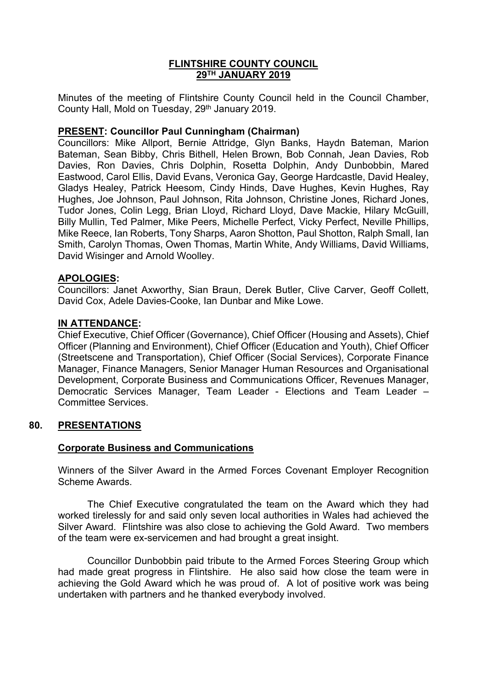# **FLINTSHIRE COUNTY COUNCIL 29TH JANUARY 2019**

Minutes of the meeting of Flintshire County Council held in the Council Chamber, County Hall, Mold on Tuesday, 29<sup>th</sup> January 2019.

# **PRESENT: Councillor Paul Cunningham (Chairman)**

Councillors: Mike Allport, Bernie Attridge, Glyn Banks, Haydn Bateman, Marion Bateman, Sean Bibby, Chris Bithell, Helen Brown, Bob Connah, Jean Davies, Rob Davies, Ron Davies, Chris Dolphin, Rosetta Dolphin, Andy Dunbobbin, Mared Eastwood, Carol Ellis, David Evans, Veronica Gay, George Hardcastle, David Healey, Gladys Healey, Patrick Heesom, Cindy Hinds, Dave Hughes, Kevin Hughes, Ray Hughes, Joe Johnson, Paul Johnson, Rita Johnson, Christine Jones, Richard Jones, Tudor Jones, Colin Legg, Brian Lloyd, Richard Lloyd, Dave Mackie, Hilary McGuill, Billy Mullin, Ted Palmer, Mike Peers, Michelle Perfect, Vicky Perfect, Neville Phillips, Mike Reece, Ian Roberts, Tony Sharps, Aaron Shotton, Paul Shotton, Ralph Small, Ian Smith, Carolyn Thomas, Owen Thomas, Martin White, Andy Williams, David Williams, David Wisinger and Arnold Woolley.

### **APOLOGIES:**

Councillors: Janet Axworthy, Sian Braun, Derek Butler, Clive Carver, Geoff Collett, David Cox, Adele Davies-Cooke, Ian Dunbar and Mike Lowe.

### **IN ATTENDANCE:**

Chief Executive, Chief Officer (Governance), Chief Officer (Housing and Assets), Chief Officer (Planning and Environment), Chief Officer (Education and Youth), Chief Officer (Streetscene and Transportation), Chief Officer (Social Services), Corporate Finance Manager, Finance Managers, Senior Manager Human Resources and Organisational Development, Corporate Business and Communications Officer, Revenues Manager, Democratic Services Manager, Team Leader - Elections and Team Leader – Committee Services.

#### **80. PRESENTATIONS**

#### **Corporate Business and Communications**

Winners of the Silver Award in the Armed Forces Covenant Employer Recognition Scheme Awards.

The Chief Executive congratulated the team on the Award which they had worked tirelessly for and said only seven local authorities in Wales had achieved the Silver Award. Flintshire was also close to achieving the Gold Award. Two members of the team were ex-servicemen and had brought a great insight.

Councillor Dunbobbin paid tribute to the Armed Forces Steering Group which had made great progress in Flintshire. He also said how close the team were in achieving the Gold Award which he was proud of. A lot of positive work was being undertaken with partners and he thanked everybody involved.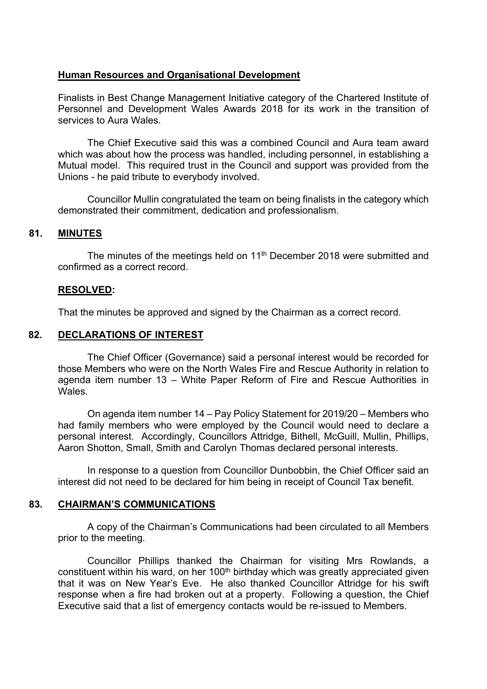# **Human Resources and Organisational Development**

Finalists in Best Change Management Initiative category of the Chartered Institute of Personnel and Development Wales Awards 2018 for its work in the transition of services to Aura Wales.

The Chief Executive said this was a combined Council and Aura team award which was about how the process was handled, including personnel, in establishing a Mutual model. This required trust in the Council and support was provided from the Unions - he paid tribute to everybody involved.

Councillor Mullin congratulated the team on being finalists in the category which demonstrated their commitment, dedication and professionalism.

### **81. MINUTES**

The minutes of the meetings held on 11<sup>th</sup> December 2018 were submitted and confirmed as a correct record.

### **RESOLVED:**

That the minutes be approved and signed by the Chairman as a correct record.

## **82. DECLARATIONS OF INTEREST**

The Chief Officer (Governance) said a personal interest would be recorded for those Members who were on the North Wales Fire and Rescue Authority in relation to agenda item number 13 – White Paper Reform of Fire and Rescue Authorities in Wales.

On agenda item number 14 – Pay Policy Statement for 2019/20 – Members who had family members who were employed by the Council would need to declare a personal interest. Accordingly, Councillors Attridge, Bithell, McGuill, Mullin, Phillips, Aaron Shotton, Small, Smith and Carolyn Thomas declared personal interests.

In response to a question from Councillor Dunbobbin, the Chief Officer said an interest did not need to be declared for him being in receipt of Council Tax benefit.

#### **83. CHAIRMAN'S COMMUNICATIONS**

A copy of the Chairman's Communications had been circulated to all Members prior to the meeting.

Councillor Phillips thanked the Chairman for visiting Mrs Rowlands, a constituent within his ward, on her 100<sup>th</sup> birthday which was greatly appreciated given that it was on New Year's Eve. He also thanked Councillor Attridge for his swift response when a fire had broken out at a property. Following a question, the Chief Executive said that a list of emergency contacts would be re-issued to Members.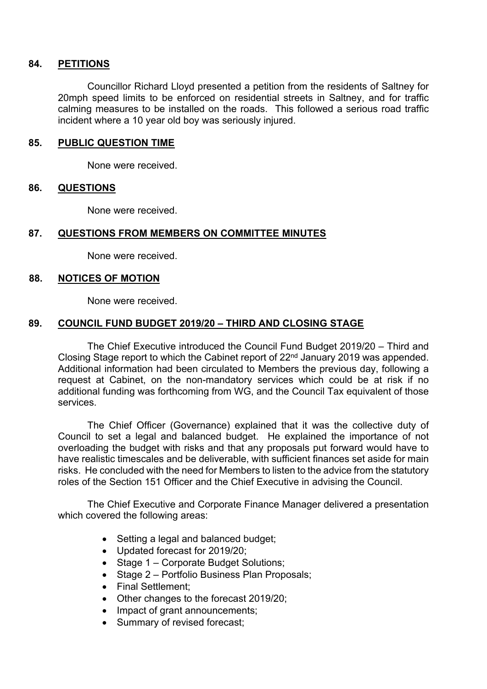### **84. PETITIONS**

Councillor Richard Lloyd presented a petition from the residents of Saltney for 20mph speed limits to be enforced on residential streets in Saltney, and for traffic calming measures to be installed on the roads. This followed a serious road traffic incident where a 10 year old boy was seriously injured.

### **85. PUBLIC QUESTION TIME**

None were received.

### **86. QUESTIONS**

None were received.

# **87. QUESTIONS FROM MEMBERS ON COMMITTEE MINUTES**

None were received.

### **88. NOTICES OF MOTION**

None were received.

# **89. COUNCIL FUND BUDGET 2019/20 – THIRD AND CLOSING STAGE**

The Chief Executive introduced the Council Fund Budget 2019/20 – Third and Closing Stage report to which the Cabinet report of 22nd January 2019 was appended. Additional information had been circulated to Members the previous day, following a request at Cabinet, on the non-mandatory services which could be at risk if no additional funding was forthcoming from WG, and the Council Tax equivalent of those services.

The Chief Officer (Governance) explained that it was the collective duty of Council to set a legal and balanced budget. He explained the importance of not overloading the budget with risks and that any proposals put forward would have to have realistic timescales and be deliverable, with sufficient finances set aside for main risks. He concluded with the need for Members to listen to the advice from the statutory roles of the Section 151 Officer and the Chief Executive in advising the Council.

The Chief Executive and Corporate Finance Manager delivered a presentation which covered the following areas:

- Setting a legal and balanced budget;
- Updated forecast for 2019/20;
- Stage 1 Corporate Budget Solutions;
- Stage 2 Portfolio Business Plan Proposals;
- Final Settlement:
- Other changes to the forecast 2019/20;
- Impact of grant announcements;
- Summary of revised forecast;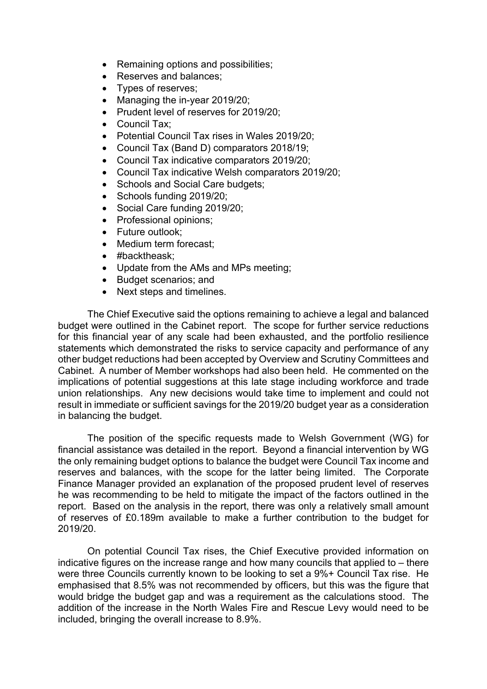- Remaining options and possibilities;
- Reserves and balances;
- Types of reserves;
- Managing the in-year 2019/20;
- Prudent level of reserves for 2019/20;
- Council Tax:
- Potential Council Tax rises in Wales 2019/20;
- Council Tax (Band D) comparators 2018/19;
- Council Tax indicative comparators 2019/20;
- Council Tax indicative Welsh comparators 2019/20;
- Schools and Social Care budgets;
- Schools funding 2019/20;
- Social Care funding 2019/20;
- Professional opinions:
- Future outlook:
- Medium term forecast:
- #backtheask:
- Update from the AMs and MPs meeting;
- Budget scenarios; and
- Next steps and timelines.

The Chief Executive said the options remaining to achieve a legal and balanced budget were outlined in the Cabinet report. The scope for further service reductions for this financial year of any scale had been exhausted, and the portfolio resilience statements which demonstrated the risks to service capacity and performance of any other budget reductions had been accepted by Overview and Scrutiny Committees and Cabinet. A number of Member workshops had also been held. He commented on the implications of potential suggestions at this late stage including workforce and trade union relationships. Any new decisions would take time to implement and could not result in immediate or sufficient savings for the 2019/20 budget year as a consideration in balancing the budget.

The position of the specific requests made to Welsh Government (WG) for financial assistance was detailed in the report. Beyond a financial intervention by WG the only remaining budget options to balance the budget were Council Tax income and reserves and balances, with the scope for the latter being limited. The Corporate Finance Manager provided an explanation of the proposed prudent level of reserves he was recommending to be held to mitigate the impact of the factors outlined in the report. Based on the analysis in the report, there was only a relatively small amount of reserves of £0.189m available to make a further contribution to the budget for 2019/20.

On potential Council Tax rises, the Chief Executive provided information on indicative figures on the increase range and how many councils that applied to – there were three Councils currently known to be looking to set a 9%+ Council Tax rise. He emphasised that 8.5% was not recommended by officers, but this was the figure that would bridge the budget gap and was a requirement as the calculations stood. The addition of the increase in the North Wales Fire and Rescue Levy would need to be included, bringing the overall increase to 8.9%.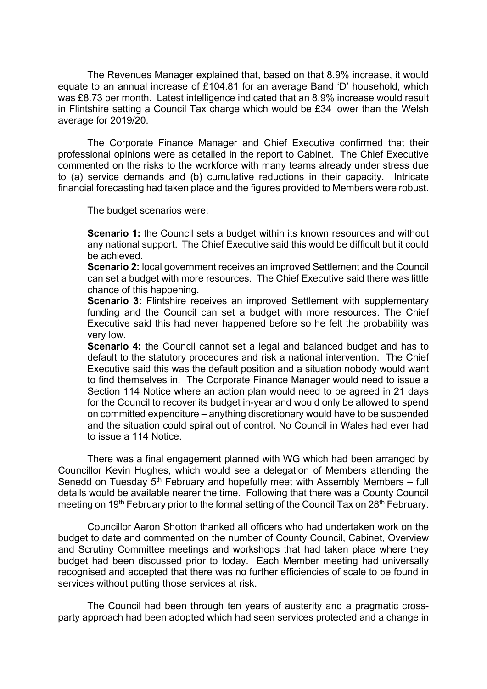The Revenues Manager explained that, based on that 8.9% increase, it would equate to an annual increase of £104.81 for an average Band 'D' household, which was £8.73 per month. Latest intelligence indicated that an 8.9% increase would result in Flintshire setting a Council Tax charge which would be £34 lower than the Welsh average for 2019/20.

The Corporate Finance Manager and Chief Executive confirmed that their professional opinions were as detailed in the report to Cabinet. The Chief Executive commented on the risks to the workforce with many teams already under stress due to (a) service demands and (b) cumulative reductions in their capacity. Intricate financial forecasting had taken place and the figures provided to Members were robust.

The budget scenarios were:

**Scenario 1:** the Council sets a budget within its known resources and without any national support. The Chief Executive said this would be difficult but it could be achieved.

**Scenario 2:** local government receives an improved Settlement and the Council can set a budget with more resources. The Chief Executive said there was little chance of this happening.

**Scenario** 3: Flintshire receives an improved Settlement with supplementary funding and the Council can set a budget with more resources. The Chief Executive said this had never happened before so he felt the probability was very low.

**Scenario 4:** the Council cannot set a legal and balanced budget and has to default to the statutory procedures and risk a national intervention. The Chief Executive said this was the default position and a situation nobody would want to find themselves in. The Corporate Finance Manager would need to issue a Section 114 Notice where an action plan would need to be agreed in 21 days for the Council to recover its budget in-year and would only be allowed to spend on committed expenditure – anything discretionary would have to be suspended and the situation could spiral out of control. No Council in Wales had ever had to issue a 114 Notice.

There was a final engagement planned with WG which had been arranged by Councillor Kevin Hughes, which would see a delegation of Members attending the Senedd on Tuesday 5<sup>th</sup> February and hopefully meet with Assembly Members – full details would be available nearer the time. Following that there was a County Council meeting on 19<sup>th</sup> February prior to the formal setting of the Council Tax on 28<sup>th</sup> February.

Councillor Aaron Shotton thanked all officers who had undertaken work on the budget to date and commented on the number of County Council, Cabinet, Overview and Scrutiny Committee meetings and workshops that had taken place where they budget had been discussed prior to today. Each Member meeting had universally recognised and accepted that there was no further efficiencies of scale to be found in services without putting those services at risk.

The Council had been through ten years of austerity and a pragmatic crossparty approach had been adopted which had seen services protected and a change in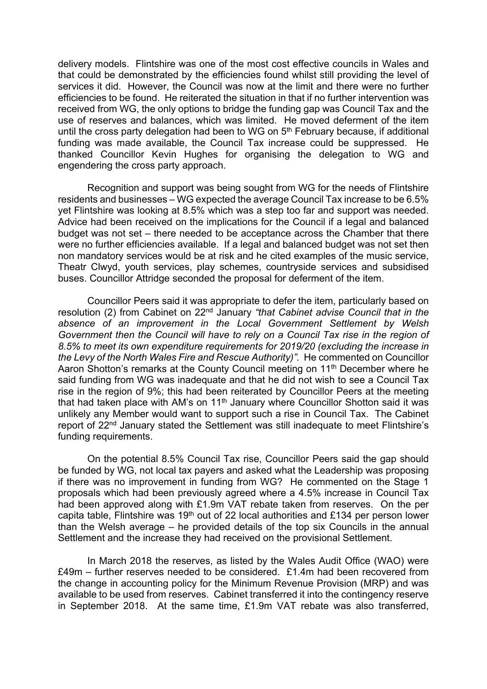delivery models. Flintshire was one of the most cost effective councils in Wales and that could be demonstrated by the efficiencies found whilst still providing the level of services it did. However, the Council was now at the limit and there were no further efficiencies to be found. He reiterated the situation in that if no further intervention was received from WG, the only options to bridge the funding gap was Council Tax and the use of reserves and balances, which was limited. He moved deferment of the item until the cross party delegation had been to WG on 5<sup>th</sup> February because, if additional funding was made available, the Council Tax increase could be suppressed. He thanked Councillor Kevin Hughes for organising the delegation to WG and engendering the cross party approach.

Recognition and support was being sought from WG for the needs of Flintshire residents and businesses – WG expected the average Council Tax increase to be 6.5% yet Flintshire was looking at 8.5% which was a step too far and support was needed. Advice had been received on the implications for the Council if a legal and balanced budget was not set – there needed to be acceptance across the Chamber that there were no further efficiencies available. If a legal and balanced budget was not set then non mandatory services would be at risk and he cited examples of the music service, Theatr Clwyd, youth services, play schemes, countryside services and subsidised buses. Councillor Attridge seconded the proposal for deferment of the item.

Councillor Peers said it was appropriate to defer the item, particularly based on resolution (2) from Cabinet on 22nd January *"that Cabinet advise Council that in the absence of an improvement in the Local Government Settlement by Welsh Government then the Council will have to rely on a Council Tax rise in the region of 8.5% to meet its own expenditure requirements for 2019/20 (excluding the increase in the Levy of the North Wales Fire and Rescue Authority)".* He commented on Councillor Aaron Shotton's remarks at the County Council meeting on 11<sup>th</sup> December where he said funding from WG was inadequate and that he did not wish to see a Council Tax rise in the region of 9%; this had been reiterated by Councillor Peers at the meeting that had taken place with AM's on  $11<sup>th</sup>$  January where Councillor Shotton said it was unlikely any Member would want to support such a rise in Council Tax. The Cabinet report of 22<sup>nd</sup> January stated the Settlement was still inadequate to meet Flintshire's funding requirements.

On the potential 8.5% Council Tax rise, Councillor Peers said the gap should be funded by WG, not local tax payers and asked what the Leadership was proposing if there was no improvement in funding from WG? He commented on the Stage 1 proposals which had been previously agreed where a 4.5% increase in Council Tax had been approved along with £1.9m VAT rebate taken from reserves. On the per capita table, Flintshire was 19th out of 22 local authorities and £134 per person lower than the Welsh average – he provided details of the top six Councils in the annual Settlement and the increase they had received on the provisional Settlement.

In March 2018 the reserves, as listed by the Wales Audit Office (WAO) were  $£49m - further reserves needed to be considered. £1.4m had been recovered from$ the change in accounting policy for the Minimum Revenue Provision (MRP) and was available to be used from reserves. Cabinet transferred it into the contingency reserve in September 2018. At the same time, £1.9m VAT rebate was also transferred,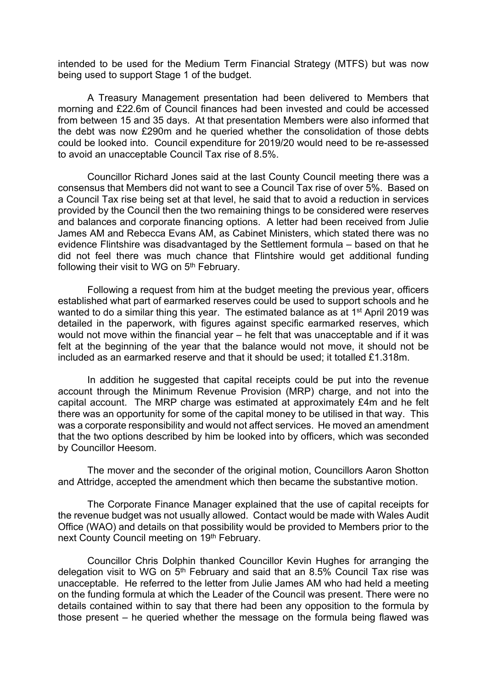intended to be used for the Medium Term Financial Strategy (MTFS) but was now being used to support Stage 1 of the budget.

A Treasury Management presentation had been delivered to Members that morning and £22.6m of Council finances had been invested and could be accessed from between 15 and 35 days. At that presentation Members were also informed that the debt was now £290m and he queried whether the consolidation of those debts could be looked into. Council expenditure for 2019/20 would need to be re-assessed to avoid an unacceptable Council Tax rise of 8.5%.

Councillor Richard Jones said at the last County Council meeting there was a consensus that Members did not want to see a Council Tax rise of over 5%. Based on a Council Tax rise being set at that level, he said that to avoid a reduction in services provided by the Council then the two remaining things to be considered were reserves and balances and corporate financing options. A letter had been received from Julie James AM and Rebecca Evans AM, as Cabinet Ministers, which stated there was no evidence Flintshire was disadvantaged by the Settlement formula – based on that he did not feel there was much chance that Flintshire would get additional funding following their visit to WG on 5<sup>th</sup> February.

Following a request from him at the budget meeting the previous year, officers established what part of earmarked reserves could be used to support schools and he wanted to do a similar thing this year. The estimated balance as at 1<sup>st</sup> April 2019 was detailed in the paperwork, with figures against specific earmarked reserves, which would not move within the financial year – he felt that was unacceptable and if it was felt at the beginning of the year that the balance would not move, it should not be included as an earmarked reserve and that it should be used; it totalled £1.318m.

In addition he suggested that capital receipts could be put into the revenue account through the Minimum Revenue Provision (MRP) charge, and not into the capital account. The MRP charge was estimated at approximately £4m and he felt there was an opportunity for some of the capital money to be utilised in that way. This was a corporate responsibility and would not affect services. He moved an amendment that the two options described by him be looked into by officers, which was seconded by Councillor Heesom.

The mover and the seconder of the original motion, Councillors Aaron Shotton and Attridge, accepted the amendment which then became the substantive motion.

The Corporate Finance Manager explained that the use of capital receipts for the revenue budget was not usually allowed. Contact would be made with Wales Audit Office (WAO) and details on that possibility would be provided to Members prior to the next County Council meeting on 19th February.

Councillor Chris Dolphin thanked Councillor Kevin Hughes for arranging the delegation visit to WG on  $5<sup>th</sup>$  February and said that an 8.5% Council Tax rise was unacceptable. He referred to the letter from Julie James AM who had held a meeting on the funding formula at which the Leader of the Council was present. There were no details contained within to say that there had been any opposition to the formula by those present – he queried whether the message on the formula being flawed was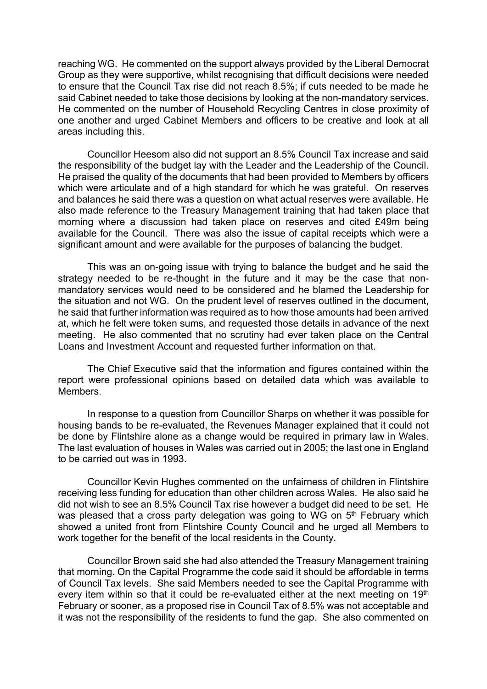reaching WG. He commented on the support always provided by the Liberal Democrat Group as they were supportive, whilst recognising that difficult decisions were needed to ensure that the Council Tax rise did not reach 8.5%; if cuts needed to be made he said Cabinet needed to take those decisions by looking at the non-mandatory services. He commented on the number of Household Recycling Centres in close proximity of one another and urged Cabinet Members and officers to be creative and look at all areas including this.

Councillor Heesom also did not support an 8.5% Council Tax increase and said the responsibility of the budget lay with the Leader and the Leadership of the Council. He praised the quality of the documents that had been provided to Members by officers which were articulate and of a high standard for which he was grateful. On reserves and balances he said there was a question on what actual reserves were available. He also made reference to the Treasury Management training that had taken place that morning where a discussion had taken place on reserves and cited £49m being available for the Council. There was also the issue of capital receipts which were a significant amount and were available for the purposes of balancing the budget.

This was an on-going issue with trying to balance the budget and he said the strategy needed to be re-thought in the future and it may be the case that nonmandatory services would need to be considered and he blamed the Leadership for the situation and not WG. On the prudent level of reserves outlined in the document, he said that further information was required as to how those amounts had been arrived at, which he felt were token sums, and requested those details in advance of the next meeting. He also commented that no scrutiny had ever taken place on the Central Loans and Investment Account and requested further information on that.

The Chief Executive said that the information and figures contained within the report were professional opinions based on detailed data which was available to Members.

In response to a question from Councillor Sharps on whether it was possible for housing bands to be re-evaluated, the Revenues Manager explained that it could not be done by Flintshire alone as a change would be required in primary law in Wales. The last evaluation of houses in Wales was carried out in 2005; the last one in England to be carried out was in 1993.

Councillor Kevin Hughes commented on the unfairness of children in Flintshire receiving less funding for education than other children across Wales. He also said he did not wish to see an 8.5% Council Tax rise however a budget did need to be set. He was pleased that a cross party delegation was going to WG on 5<sup>th</sup> February which showed a united front from Flintshire County Council and he urged all Members to work together for the benefit of the local residents in the County.

Councillor Brown said she had also attended the Treasury Management training that morning. On the Capital Programme the code said it should be affordable in terms of Council Tax levels. She said Members needed to see the Capital Programme with every item within so that it could be re-evaluated either at the next meeting on  $19<sup>th</sup>$ February or sooner, as a proposed rise in Council Tax of 8.5% was not acceptable and it was not the responsibility of the residents to fund the gap. She also commented on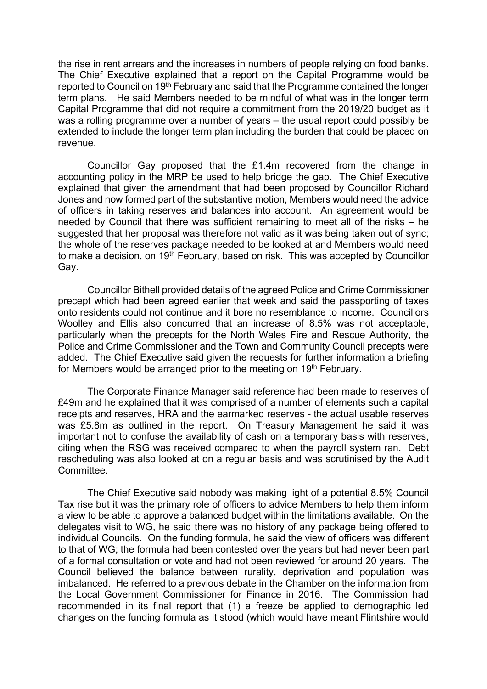the rise in rent arrears and the increases in numbers of people relying on food banks. The Chief Executive explained that a report on the Capital Programme would be reported to Council on 19th February and said that the Programme contained the longer term plans. He said Members needed to be mindful of what was in the longer term Capital Programme that did not require a commitment from the 2019/20 budget as it was a rolling programme over a number of years – the usual report could possibly be extended to include the longer term plan including the burden that could be placed on revenue.

Councillor Gay proposed that the £1.4m recovered from the change in accounting policy in the MRP be used to help bridge the gap. The Chief Executive explained that given the amendment that had been proposed by Councillor Richard Jones and now formed part of the substantive motion, Members would need the advice of officers in taking reserves and balances into account. An agreement would be needed by Council that there was sufficient remaining to meet all of the risks – he suggested that her proposal was therefore not valid as it was being taken out of sync; the whole of the reserves package needed to be looked at and Members would need to make a decision, on 19<sup>th</sup> February, based on risk. This was accepted by Councillor Gay.

Councillor Bithell provided details of the agreed Police and Crime Commissioner precept which had been agreed earlier that week and said the passporting of taxes onto residents could not continue and it bore no resemblance to income. Councillors Woolley and Ellis also concurred that an increase of 8.5% was not acceptable, particularly when the precepts for the North Wales Fire and Rescue Authority, the Police and Crime Commissioner and the Town and Community Council precepts were added. The Chief Executive said given the requests for further information a briefing for Members would be arranged prior to the meeting on 19<sup>th</sup> February.

The Corporate Finance Manager said reference had been made to reserves of £49m and he explained that it was comprised of a number of elements such a capital receipts and reserves, HRA and the earmarked reserves - the actual usable reserves was £5.8m as outlined in the report. On Treasury Management he said it was important not to confuse the availability of cash on a temporary basis with reserves, citing when the RSG was received compared to when the payroll system ran. Debt rescheduling was also looked at on a regular basis and was scrutinised by the Audit Committee.

The Chief Executive said nobody was making light of a potential 8.5% Council Tax rise but it was the primary role of officers to advice Members to help them inform a view to be able to approve a balanced budget within the limitations available. On the delegates visit to WG, he said there was no history of any package being offered to individual Councils. On the funding formula, he said the view of officers was different to that of WG; the formula had been contested over the years but had never been part of a formal consultation or vote and had not been reviewed for around 20 years. The Council believed the balance between rurality, deprivation and population was imbalanced. He referred to a previous debate in the Chamber on the information from the Local Government Commissioner for Finance in 2016. The Commission had recommended in its final report that (1) a freeze be applied to demographic led changes on the funding formula as it stood (which would have meant Flintshire would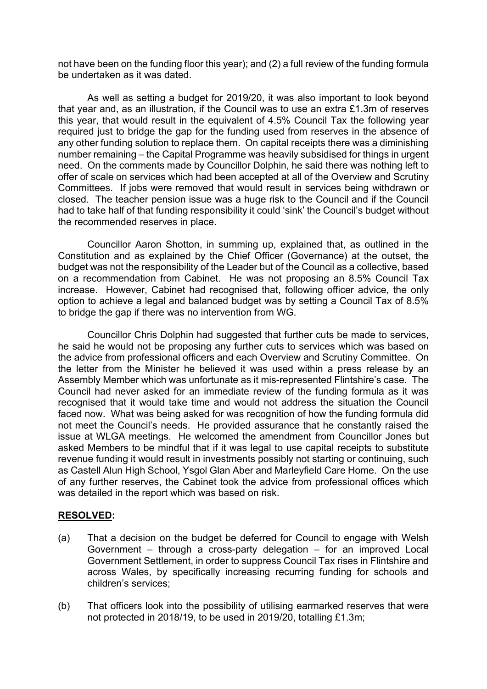not have been on the funding floor this year); and (2) a full review of the funding formula be undertaken as it was dated.

As well as setting a budget for 2019/20, it was also important to look beyond that year and, as an illustration, if the Council was to use an extra £1.3m of reserves this year, that would result in the equivalent of 4.5% Council Tax the following year required just to bridge the gap for the funding used from reserves in the absence of any other funding solution to replace them. On capital receipts there was a diminishing number remaining – the Capital Programme was heavily subsidised for things in urgent need. On the comments made by Councillor Dolphin, he said there was nothing left to offer of scale on services which had been accepted at all of the Overview and Scrutiny Committees. If jobs were removed that would result in services being withdrawn or closed. The teacher pension issue was a huge risk to the Council and if the Council had to take half of that funding responsibility it could 'sink' the Council's budget without the recommended reserves in place.

Councillor Aaron Shotton, in summing up, explained that, as outlined in the Constitution and as explained by the Chief Officer (Governance) at the outset, the budget was not the responsibility of the Leader but of the Council as a collective, based on a recommendation from Cabinet. He was not proposing an 8.5% Council Tax increase. However, Cabinet had recognised that, following officer advice, the only option to achieve a legal and balanced budget was by setting a Council Tax of 8.5% to bridge the gap if there was no intervention from WG.

Councillor Chris Dolphin had suggested that further cuts be made to services, he said he would not be proposing any further cuts to services which was based on the advice from professional officers and each Overview and Scrutiny Committee. On the letter from the Minister he believed it was used within a press release by an Assembly Member which was unfortunate as it mis-represented Flintshire's case. The Council had never asked for an immediate review of the funding formula as it was recognised that it would take time and would not address the situation the Council faced now. What was being asked for was recognition of how the funding formula did not meet the Council's needs. He provided assurance that he constantly raised the issue at WLGA meetings. He welcomed the amendment from Councillor Jones but asked Members to be mindful that if it was legal to use capital receipts to substitute revenue funding it would result in investments possibly not starting or continuing, such as Castell Alun High School, Ysgol Glan Aber and Marleyfield Care Home. On the use of any further reserves, the Cabinet took the advice from professional offices which was detailed in the report which was based on risk.

# **RESOLVED:**

- (a) That a decision on the budget be deferred for Council to engage with Welsh Government – through a cross-party delegation – for an improved Local Government Settlement, in order to suppress Council Tax rises in Flintshire and across Wales, by specifically increasing recurring funding for schools and children's services;
- (b) That officers look into the possibility of utilising earmarked reserves that were not protected in 2018/19, to be used in 2019/20, totalling £1.3m;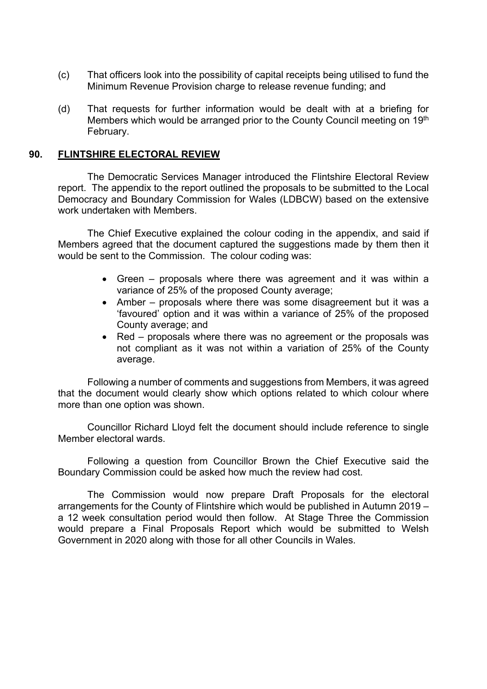- (c) That officers look into the possibility of capital receipts being utilised to fund the Minimum Revenue Provision charge to release revenue funding; and
- (d) That requests for further information would be dealt with at a briefing for Members which would be arranged prior to the County Council meeting on 19th February.

### **90. FLINTSHIRE ELECTORAL REVIEW**

The Democratic Services Manager introduced the Flintshire Electoral Review report. The appendix to the report outlined the proposals to be submitted to the Local Democracy and Boundary Commission for Wales (LDBCW) based on the extensive work undertaken with Members.

The Chief Executive explained the colour coding in the appendix, and said if Members agreed that the document captured the suggestions made by them then it would be sent to the Commission. The colour coding was:

- Green proposals where there was agreement and it was within a variance of 25% of the proposed County average;
- Amber proposals where there was some disagreement but it was a 'favoured' option and it was within a variance of 25% of the proposed County average; and
- Red proposals where there was no agreement or the proposals was not compliant as it was not within a variation of 25% of the County average.

Following a number of comments and suggestions from Members, it was agreed that the document would clearly show which options related to which colour where more than one option was shown.

Councillor Richard Lloyd felt the document should include reference to single Member electoral wards.

Following a question from Councillor Brown the Chief Executive said the Boundary Commission could be asked how much the review had cost.

The Commission would now prepare Draft Proposals for the electoral arrangements for the County of Flintshire which would be published in Autumn 2019 – a 12 week consultation period would then follow. At Stage Three the Commission would prepare a Final Proposals Report which would be submitted to Welsh Government in 2020 along with those for all other Councils in Wales.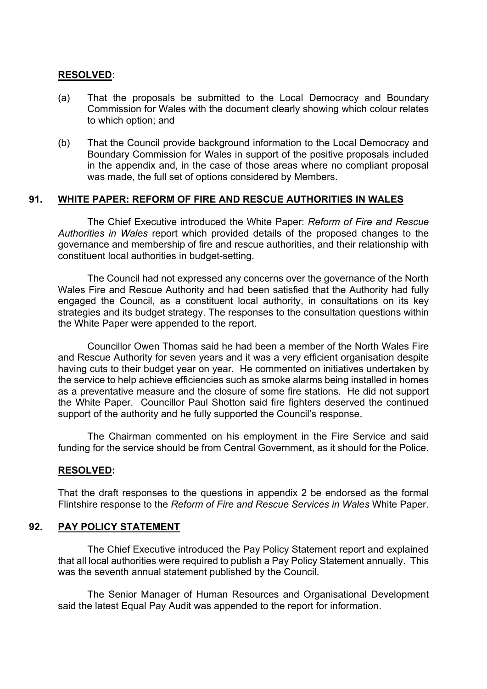# **RESOLVED:**

- (a) That the proposals be submitted to the Local Democracy and Boundary Commission for Wales with the document clearly showing which colour relates to which option; and
- (b) That the Council provide background information to the Local Democracy and Boundary Commission for Wales in support of the positive proposals included in the appendix and, in the case of those areas where no compliant proposal was made, the full set of options considered by Members.

# **91. WHITE PAPER: REFORM OF FIRE AND RESCUE AUTHORITIES IN WALES**

The Chief Executive introduced the White Paper: *Reform of Fire and Rescue Authorities in Wales* report which provided details of the proposed changes to the governance and membership of fire and rescue authorities, and their relationship with constituent local authorities in budget-setting.

The Council had not expressed any concerns over the governance of the North Wales Fire and Rescue Authority and had been satisfied that the Authority had fully engaged the Council, as a constituent local authority, in consultations on its key strategies and its budget strategy. The responses to the consultation questions within the White Paper were appended to the report.

Councillor Owen Thomas said he had been a member of the North Wales Fire and Rescue Authority for seven years and it was a very efficient organisation despite having cuts to their budget year on year. He commented on initiatives undertaken by the service to help achieve efficiencies such as smoke alarms being installed in homes as a preventative measure and the closure of some fire stations. He did not support the White Paper. Councillor Paul Shotton said fire fighters deserved the continued support of the authority and he fully supported the Council's response.

The Chairman commented on his employment in the Fire Service and said funding for the service should be from Central Government, as it should for the Police.

# **RESOLVED:**

That the draft responses to the questions in appendix 2 be endorsed as the formal Flintshire response to the *Reform of Fire and Rescue Services in Wales* White Paper.

#### **92. PAY POLICY STATEMENT**

The Chief Executive introduced the Pay Policy Statement report and explained that all local authorities were required to publish a Pay Policy Statement annually. This was the seventh annual statement published by the Council.

The Senior Manager of Human Resources and Organisational Development said the latest Equal Pay Audit was appended to the report for information.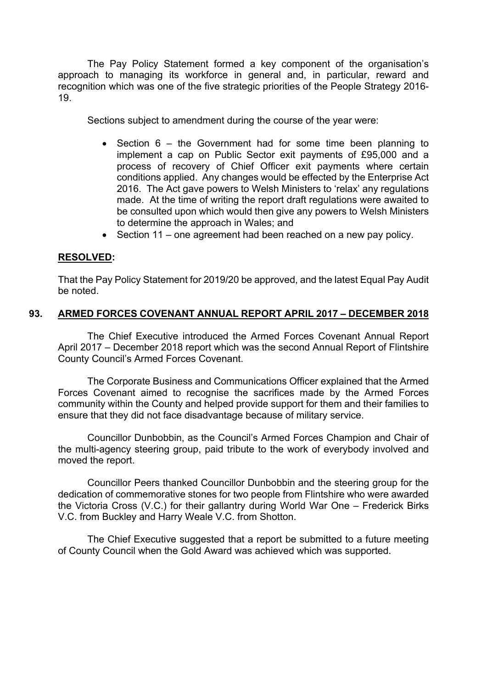The Pay Policy Statement formed a key component of the organisation's approach to managing its workforce in general and, in particular, reward and recognition which was one of the five strategic priorities of the People Strategy 2016- 19.

Sections subject to amendment during the course of the year were:

- Section 6 the Government had for some time been planning to implement a cap on Public Sector exit payments of £95,000 and a process of recovery of Chief Officer exit payments where certain conditions applied. Any changes would be effected by the Enterprise Act 2016. The Act gave powers to Welsh Ministers to 'relax' any regulations made. At the time of writing the report draft regulations were awaited to be consulted upon which would then give any powers to Welsh Ministers to determine the approach in Wales; and
- Section 11 one agreement had been reached on a new pay policy.

# **RESOLVED:**

That the Pay Policy Statement for 2019/20 be approved, and the latest Equal Pay Audit be noted.

# **93. ARMED FORCES COVENANT ANNUAL REPORT APRIL 2017 – DECEMBER 2018**

The Chief Executive introduced the Armed Forces Covenant Annual Report April 2017 – December 2018 report which was the second Annual Report of Flintshire County Council's Armed Forces Covenant.

The Corporate Business and Communications Officer explained that the Armed Forces Covenant aimed to recognise the sacrifices made by the Armed Forces community within the County and helped provide support for them and their families to ensure that they did not face disadvantage because of military service.

Councillor Dunbobbin, as the Council's Armed Forces Champion and Chair of the multi-agency steering group, paid tribute to the work of everybody involved and moved the report.

Councillor Peers thanked Councillor Dunbobbin and the steering group for the dedication of commemorative stones for two people from Flintshire who were awarded the Victoria Cross (V.C.) for their gallantry during World War One – Frederick Birks V.C. from Buckley and Harry Weale V.C. from Shotton.

The Chief Executive suggested that a report be submitted to a future meeting of County Council when the Gold Award was achieved which was supported.